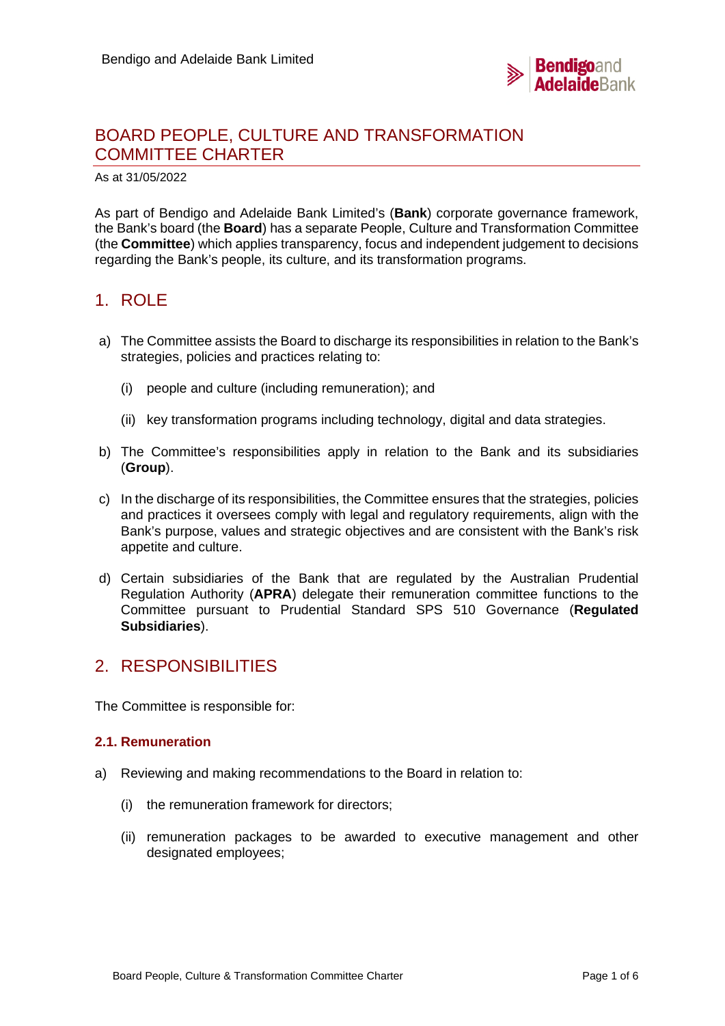

# BOARD PEOPLE, CULTURE AND TRANSFORMATION COMMITTEE CHARTER

As at 31/05/2022

As part of Bendigo and Adelaide Bank Limited's (**Bank**) corporate governance framework, the Bank's board (the **Board**) has a separate People, Culture and Transformation Committee (the **Committee**) which applies transparency, focus and independent judgement to decisions regarding the Bank's people, its culture, and its transformation programs.

# 1. ROLE

- a) The Committee assists the Board to discharge its responsibilities in relation to the Bank's strategies, policies and practices relating to:
	- (i) people and culture (including remuneration); and
	- (ii) key transformation programs including technology, digital and data strategies.
- b) The Committee's responsibilities apply in relation to the Bank and its subsidiaries (**Group**).
- c) In the discharge of its responsibilities, the Committee ensures that the strategies, policies and practices it oversees comply with legal and regulatory requirements, align with the Bank's purpose, values and strategic objectives and are consistent with the Bank's risk appetite and culture.
- d) Certain subsidiaries of the Bank that are regulated by the Australian Prudential Regulation Authority (**APRA**) delegate their remuneration committee functions to the Committee pursuant to Prudential Standard SPS 510 Governance (**Regulated Subsidiaries**).

# 2. RESPONSIBILITIES

The Committee is responsible for:

## **2.1. Remuneration**

- a) Reviewing and making recommendations to the Board in relation to:
	- (i) the remuneration framework for directors;
	- (ii) remuneration packages to be awarded to executive management and other designated employees;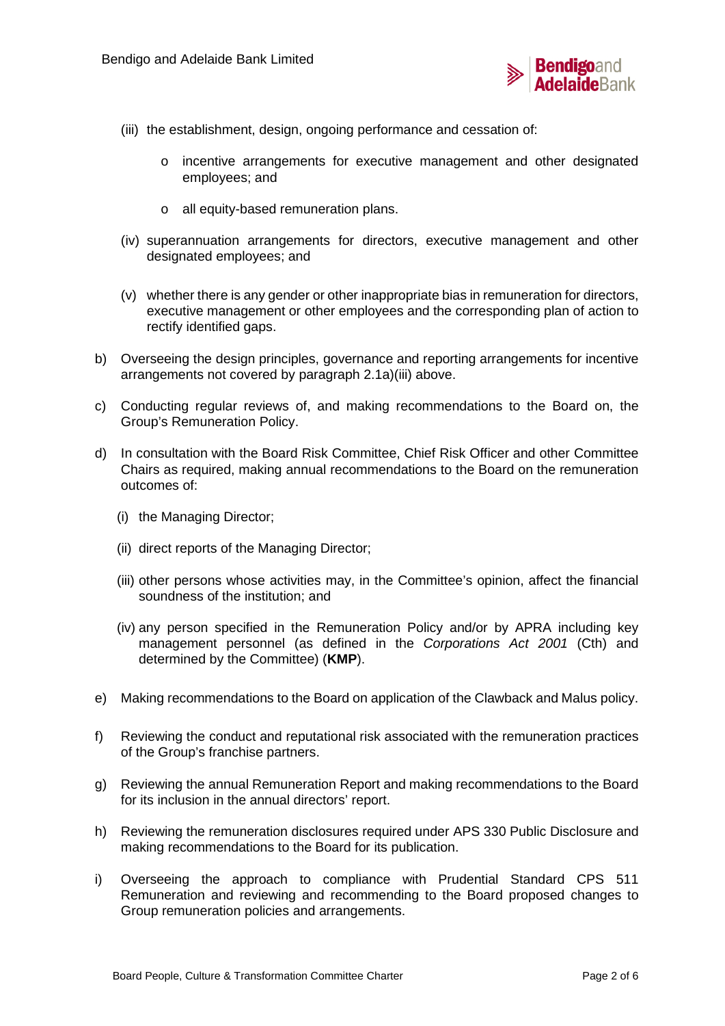

- (iii) the establishment, design, ongoing performance and cessation of:
	- o incentive arrangements for executive management and other designated employees; and
	- o all equity-based remuneration plans.
- (iv) superannuation arrangements for directors, executive management and other designated employees; and
- (v) whether there is any gender or other inappropriate bias in remuneration for directors, executive management or other employees and the corresponding plan of action to rectify identified gaps.
- b) Overseeing the design principles, governance and reporting arrangements for incentive arrangements not covered by paragraph 2.1a)(iii) above.
- c) Conducting regular reviews of, and making recommendations to the Board on, the Group's Remuneration Policy.
- d) In consultation with the Board Risk Committee, Chief Risk Officer and other Committee Chairs as required, making annual recommendations to the Board on the remuneration outcomes of:
	- (i) the Managing Director;
	- (ii) direct reports of the Managing Director;
	- (iii) other persons whose activities may, in the Committee's opinion, affect the financial soundness of the institution; and
	- (iv) any person specified in the Remuneration Policy and/or by APRA including key management personnel (as defined in the *Corporations Act 2001* (Cth) and determined by the Committee) (**KMP**).
- e) Making recommendations to the Board on application of the Clawback and Malus policy.
- f) Reviewing the conduct and reputational risk associated with the remuneration practices of the Group's franchise partners.
- g) Reviewing the annual Remuneration Report and making recommendations to the Board for its inclusion in the annual directors' report.
- h) Reviewing the remuneration disclosures required under APS 330 Public Disclosure and making recommendations to the Board for its publication.
- i) Overseeing the approach to compliance with Prudential Standard CPS 511 Remuneration and reviewing and recommending to the Board proposed changes to Group remuneration policies and arrangements.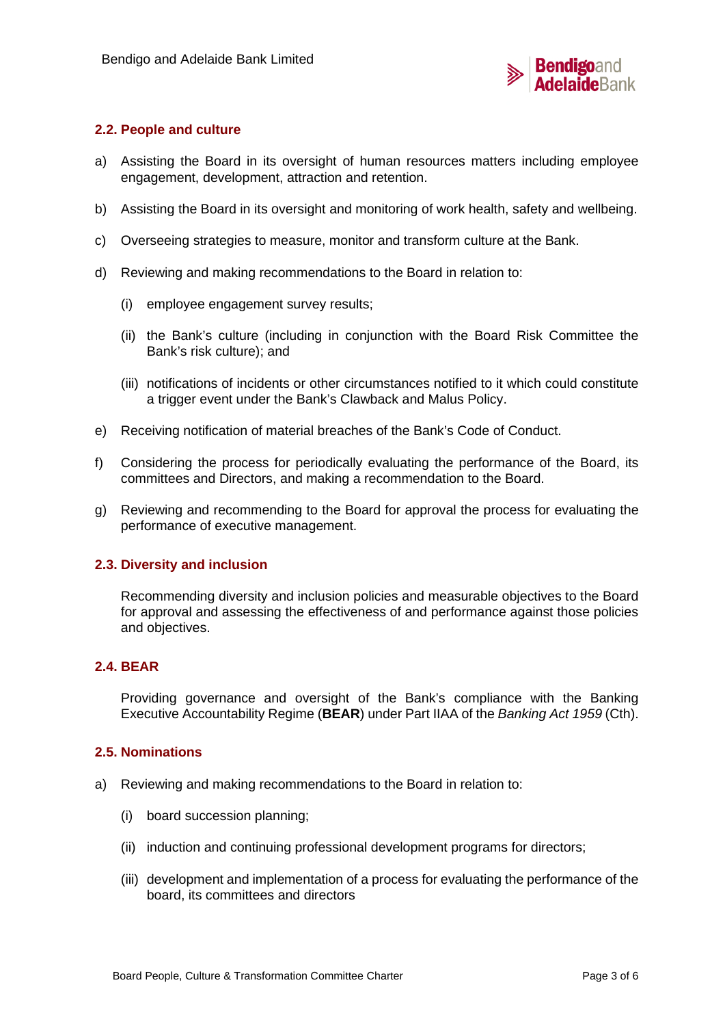

## **2.2. People and culture**

- a) Assisting the Board in its oversight of human resources matters including employee engagement, development, attraction and retention.
- b) Assisting the Board in its oversight and monitoring of work health, safety and wellbeing.
- c) Overseeing strategies to measure, monitor and transform culture at the Bank.
- d) Reviewing and making recommendations to the Board in relation to:
	- (i) employee engagement survey results;
	- (ii) the Bank's culture (including in conjunction with the Board Risk Committee the Bank's risk culture); and
	- (iii) notifications of incidents or other circumstances notified to it which could constitute a trigger event under the Bank's Clawback and Malus Policy.
- e) Receiving notification of material breaches of the Bank's Code of Conduct.
- f) Considering the process for periodically evaluating the performance of the Board, its committees and Directors, and making a recommendation to the Board.
- g) Reviewing and recommending to the Board for approval the process for evaluating the performance of executive management.

## **2.3. Diversity and inclusion**

Recommending diversity and inclusion policies and measurable objectives to the Board for approval and assessing the effectiveness of and performance against those policies and objectives.

## **2.4. BEAR**

Providing governance and oversight of the Bank's compliance with the Banking Executive Accountability Regime (**BEAR**) under Part IIAA of the *Banking Act 1959* (Cth).

#### **2.5. Nominations**

- a) Reviewing and making recommendations to the Board in relation to:
	- (i) board succession planning;
	- (ii) induction and continuing professional development programs for directors;
	- (iii) development and implementation of a process for evaluating the performance of the board, its committees and directors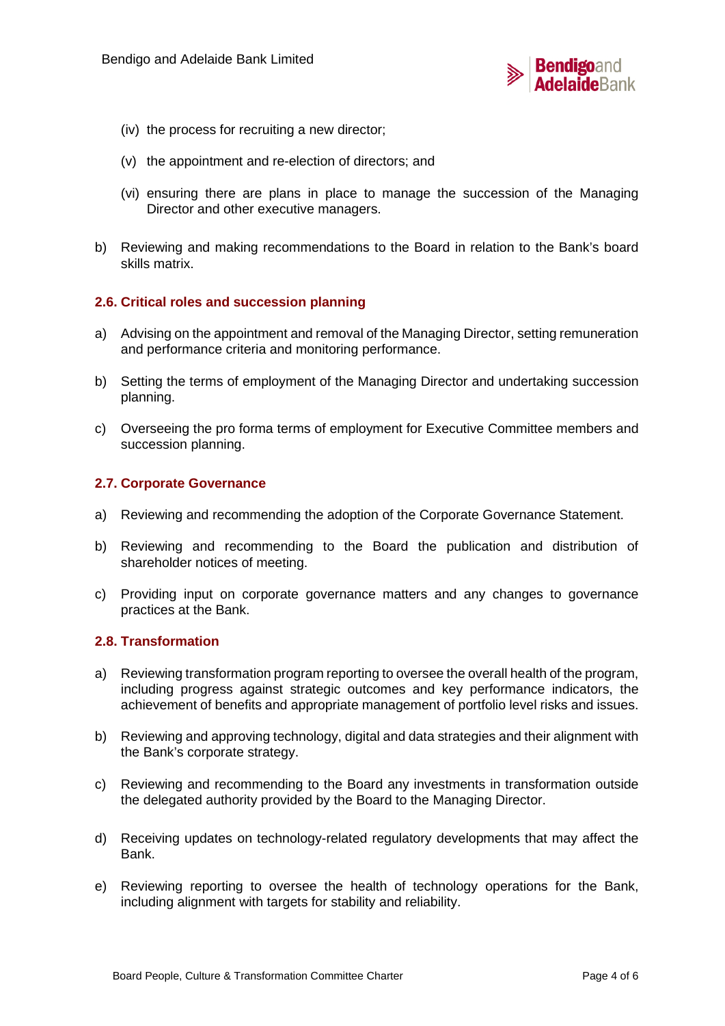

- (iv) the process for recruiting a new director;
- (v) the appointment and re-election of directors; and
- (vi) ensuring there are plans in place to manage the succession of the Managing Director and other executive managers.
- b) Reviewing and making recommendations to the Board in relation to the Bank's board skills matrix.

### **2.6. Critical roles and succession planning**

- a) Advising on the appointment and removal of the Managing Director, setting remuneration and performance criteria and monitoring performance.
- b) Setting the terms of employment of the Managing Director and undertaking succession planning.
- c) Overseeing the pro forma terms of employment for Executive Committee members and succession planning.

### **2.7. Corporate Governance**

- a) Reviewing and recommending the adoption of the Corporate Governance Statement.
- b) Reviewing and recommending to the Board the publication and distribution of shareholder notices of meeting.
- c) Providing input on corporate governance matters and any changes to governance practices at the Bank.

#### **2.8. Transformation**

- a) Reviewing transformation program reporting to oversee the overall health of the program, including progress against strategic outcomes and key performance indicators, the achievement of benefits and appropriate management of portfolio level risks and issues.
- b) Reviewing and approving technology, digital and data strategies and their alignment with the Bank's corporate strategy.
- c) Reviewing and recommending to the Board any investments in transformation outside the delegated authority provided by the Board to the Managing Director.
- d) Receiving updates on technology-related regulatory developments that may affect the Bank.
- e) Reviewing reporting to oversee the health of technology operations for the Bank, including alignment with targets for stability and reliability.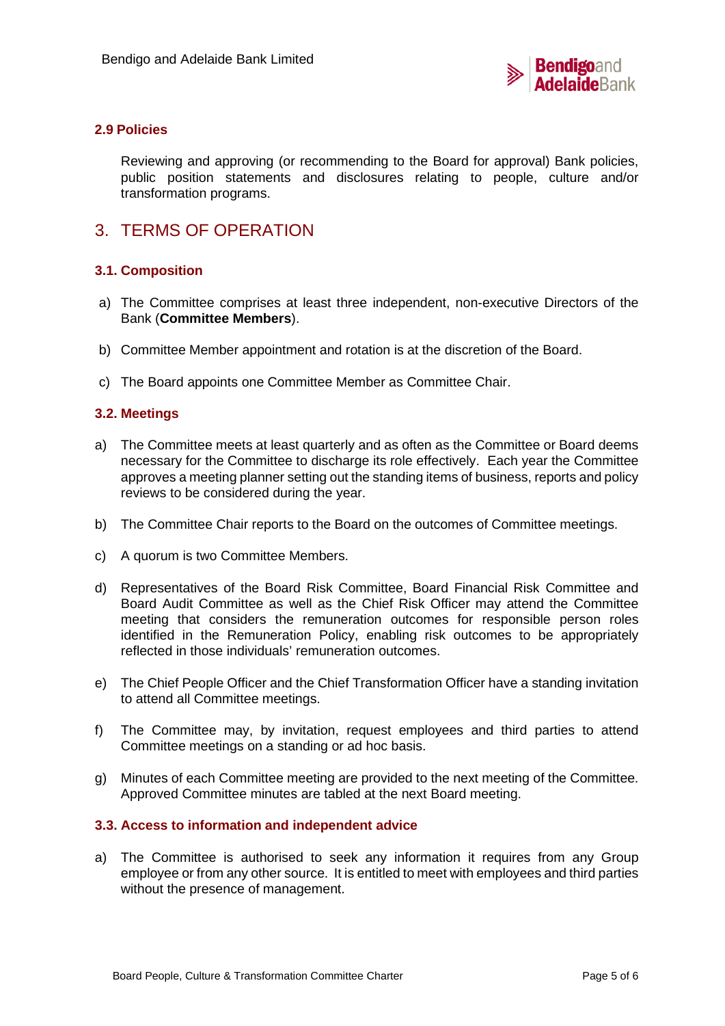

## **2.9 Policies**

Reviewing and approving (or recommending to the Board for approval) Bank policies, public position statements and disclosures relating to people, culture and/or transformation programs.

# 3. TERMS OF OPERATION

## **3.1. Composition**

- a) The Committee comprises at least three independent, non-executive Directors of the Bank (**Committee Members**).
- b) Committee Member appointment and rotation is at the discretion of the Board.
- c) The Board appoints one Committee Member as Committee Chair.

### **3.2. Meetings**

- a) The Committee meets at least quarterly and as often as the Committee or Board deems necessary for the Committee to discharge its role effectively. Each year the Committee approves a meeting planner setting out the standing items of business, reports and policy reviews to be considered during the year.
- b) The Committee Chair reports to the Board on the outcomes of Committee meetings.
- c) A quorum is two Committee Members.
- d) Representatives of the Board Risk Committee, Board Financial Risk Committee and Board Audit Committee as well as the Chief Risk Officer may attend the Committee meeting that considers the remuneration outcomes for responsible person roles identified in the Remuneration Policy, enabling risk outcomes to be appropriately reflected in those individuals' remuneration outcomes.
- e) The Chief People Officer and the Chief Transformation Officer have a standing invitation to attend all Committee meetings.
- f) The Committee may, by invitation, request employees and third parties to attend Committee meetings on a standing or ad hoc basis.
- g) Minutes of each Committee meeting are provided to the next meeting of the Committee. Approved Committee minutes are tabled at the next Board meeting.

#### **3.3. Access to information and independent advice**

a) The Committee is authorised to seek any information it requires from any Group employee or from any other source. It is entitled to meet with employees and third parties without the presence of management.